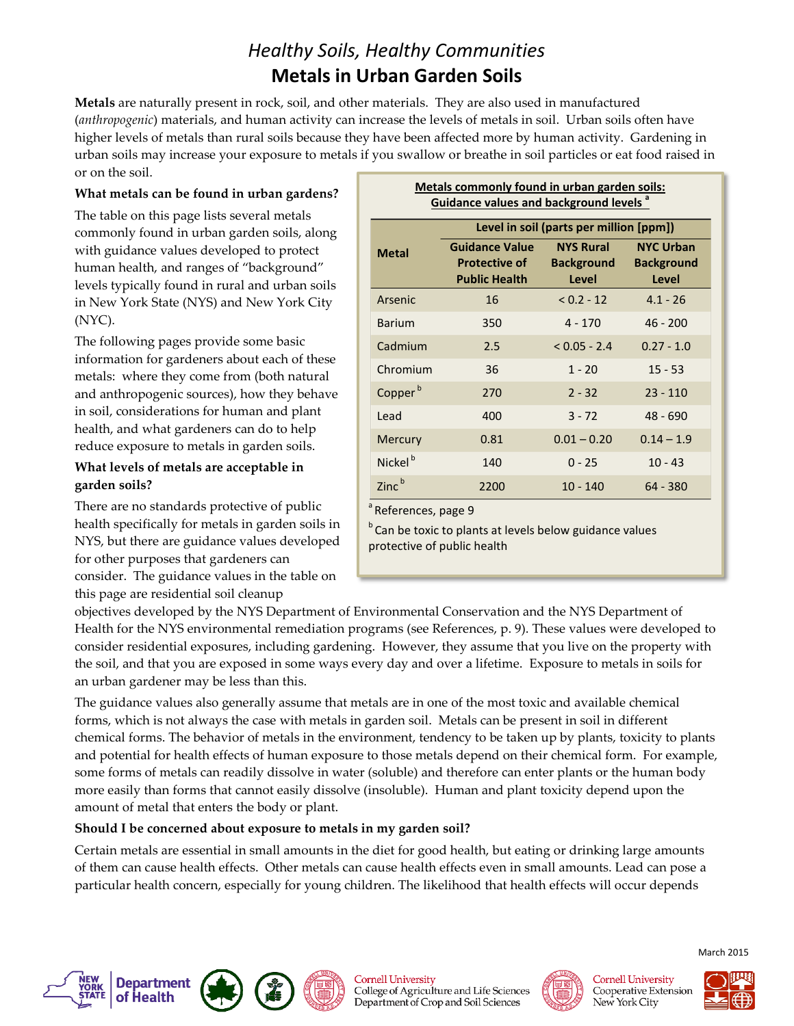# *Healthy Soils, Healthy Communities* **Metals in Urban Garden Soils**

**Metals** are naturally present in rock, soil, and other materials. They are also used in manufactured (*anthropogenic*) materials, and human activity can increase the levels of metals in soil. Urban soils often have higher levels of metals than rural soils because they have been affected more by human activity. Gardening in urban soils may increase your exposure to metals if you swallow or breathe in soil particles or eat food raised in or on the soil.

#### **What metals can be found in urban gardens?**

The table on this page lists several metals commonly found in urban garden soils, along with guidance values developed to protect human health, and ranges of "background" levels typically found in rural and urban soils in New York State (NYS) and New York City (NYC).

The following pages provide some basic information for gardeners about each of these metals: where they come from (both natural and anthropogenic sources), how they behave in soil, considerations for human and plant health, and what gardeners can do to help reduce exposure to metals in garden soils.

#### **What levels of metals are acceptable in garden soils?**

There are no standards protective of public health specifically for metals in garden soils in NYS, but there are guidance values developed for other purposes that gardeners can consider. The guidance values in the table on this page are residential soil cleanup

| <b>Guidance values and background levels<sup>a</sup></b> |                                                                       |                                                |                                                |
|----------------------------------------------------------|-----------------------------------------------------------------------|------------------------------------------------|------------------------------------------------|
|                                                          | Level in soil (parts per million [ppm])                               |                                                |                                                |
| <b>Metal</b>                                             | <b>Guidance Value</b><br><b>Protective of</b><br><b>Public Health</b> | <b>NYS Rural</b><br><b>Background</b><br>Level | <b>NYC Urban</b><br><b>Background</b><br>Level |
| Arsenic                                                  | 16                                                                    | $< 0.2 - 12$                                   | $4.1 - 26$                                     |
| <b>Barium</b>                                            | 350                                                                   | $4 - 170$                                      | $46 - 200$                                     |
| Cadmium                                                  | 2.5                                                                   | $< 0.05 - 2.4$                                 | $0.27 - 1.0$                                   |
| Chromium                                                 | 36                                                                    | $1 - 20$                                       | $15 - 53$                                      |
| Copper <sup>b</sup>                                      | 270                                                                   | $2 - 32$                                       | $23 - 110$                                     |
| Lead                                                     | 400                                                                   | $3 - 72$                                       | $48 - 690$                                     |
| <b>Mercury</b>                                           | 0.81                                                                  | $0.01 - 0.20$                                  | $0.14 - 1.9$                                   |
| Nickel <sup>b</sup>                                      | 140                                                                   | $0 - 25$                                       | $10 - 43$                                      |
| $Zinc^b$                                                 | 2200                                                                  | $10 - 140$                                     | $64 - 380$                                     |

**Metals commonly found in urban garden soils:** 

<sup>a</sup> References, page 9

<sup>b</sup> Can be toxic to plants at levels below guidance values protective of public health

objectives developed by the NYS Department of Environmental Conservation and the NYS Department of Health for the NYS environmental remediation programs (see References, p. 9). These values were developed to consider residential exposures, including gardening. However, they assume that you live on the property with the soil, and that you are exposed in some ways every day and over a lifetime. Exposure to metals in soils for an urban gardener may be less than this.

The guidance values also generally assume that metals are in one of the most toxic and available chemical forms, which is not always the case with metals in garden soil. Metals can be present in soil in different chemical forms. The behavior of metals in the environment, tendency to be taken up by plants, toxicity to plants and potential for health effects of human exposure to those metals depend on their chemical form. For example, some forms of metals can readily dissolve in water (soluble) and therefore can enter plants or the human body more easily than forms that cannot easily dissolve (insoluble). Human and plant toxicity depend upon the amount of metal that enters the body or plant.

#### **Should I be concerned about exposure to metals in my garden soil?**

Certain metals are essential in small amounts in the diet for good health, but eating or drinking large amounts of them can cause health effects. Other metals can cause health effects even in small amounts. Lead can pose a particular health concern, especially for young children. The likelihood that health effects will occur depends









**Cornell University**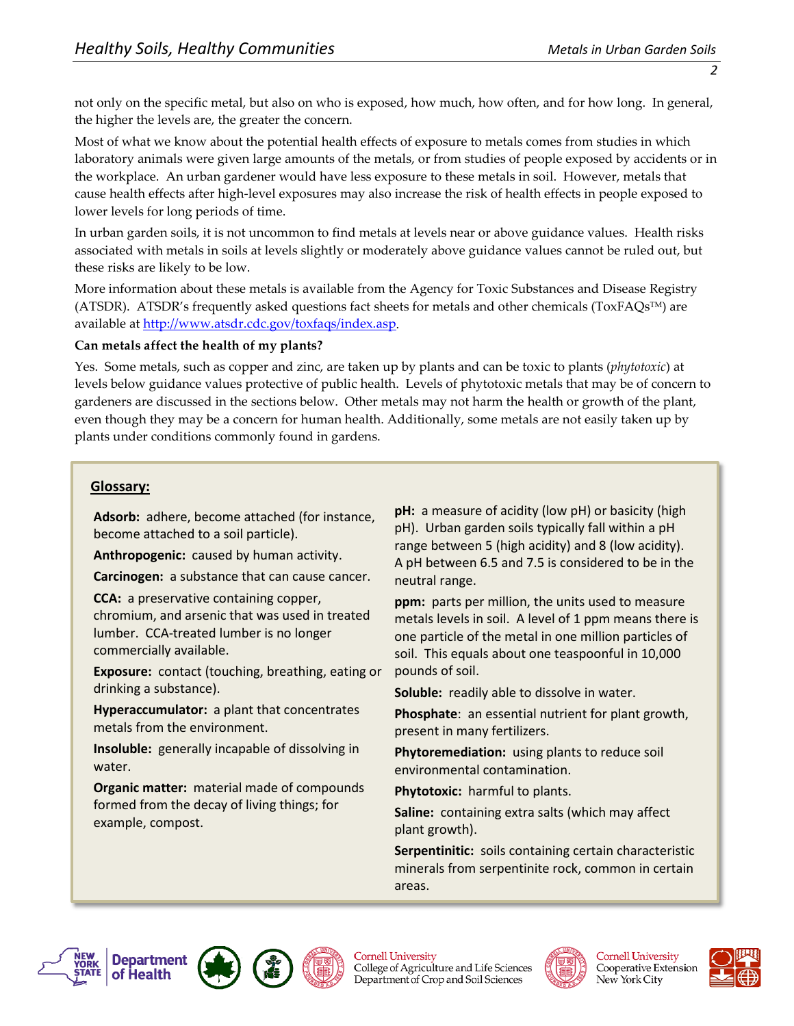not only on the specific metal, but also on who is exposed, how much, how often, and for how long. In general, the higher the levels are, the greater the concern.

Most of what we know about the potential health effects of exposure to metals comes from studies in which laboratory animals were given large amounts of the metals, or from studies of people exposed by accidents or in the workplace. An urban gardener would have less exposure to these metals in soil. However, metals that cause health effects after high-level exposures may also increase the risk of health effects in people exposed to lower levels for long periods of time.

In urban garden soils, it is not uncommon to find metals at levels near or above guidance values. Health risks associated with metals in soils at levels slightly or moderately above guidance values cannot be ruled out, but these risks are likely to be low.

More information about these metals is available from the Agency for Toxic Substances and Disease Registry (ATSDR). ATSDR's frequently asked questions fact sheets for metals and other chemicals ( $ToxFAQs^{TM}$ ) are available at [http://www.atsdr.cdc.gov/toxfaqs/index.asp.](http://www.atsdr.cdc.gov/toxfaqs/index.asp)

#### **Can metals affect the health of my plants?**

Yes. Some metals, such as copper and zinc, are taken up by plants and can be toxic to plants (*phytotoxic*) at levels below guidance values protective of public health. Levels of phytotoxic metals that may be of concern to gardeners are discussed in the sections below. Other metals may not harm the health or growth of the plant, even though they may be a concern for human health. Additionally, some metals are not easily taken up by plants under conditions commonly found in gardens.

#### **Glossary:**

**Adsorb:** adhere, become attached (for instance, become attached to a soil particle).

**Anthropogenic:** caused by human activity.

**Carcinogen:** a substance that can cause cancer.

**CCA:** a preservative containing copper,

chromium, and arsenic that was used in treated lumber. CCA-treated lumber is no longer commercially available.

**Exposure:** contact (touching, breathing, eating or drinking a substance).

**Hyperaccumulator:** a plant that concentrates metals from the environment.

**Insoluble:** generally incapable of dissolving in water.

**Organic matter:** material made of compounds formed from the decay of living things; for example, compost.

**pH:** a measure of acidity (low pH) or basicity (high pH). Urban garden soils typically fall within a pH range between 5 (high acidity) and 8 (low acidity). A pH between 6.5 and 7.5 is considered to be in the neutral range.

**ppm:** parts per million, the units used to measure metals levels in soil. A level of 1 ppm means there is one particle of the metal in one million particles of soil. This equals about one teaspoonful in 10,000 pounds of soil.

**Soluble:** readily able to dissolve in water.

**Phosphate**: an essential nutrient for plant growth, present in many fertilizers.

**Phytoremediation:** using plants to reduce soil environmental contamination.

**Phytotoxic:** harmful to plants.

**Saline:** containing extra salts (which may affect plant growth).

**Serpentinitic:** soils containing certain characteristic minerals from serpentinite rock, common in certain areas.







**Cornell University** College of Agriculture and Life Sciences Department of Crop and Soil Sciences



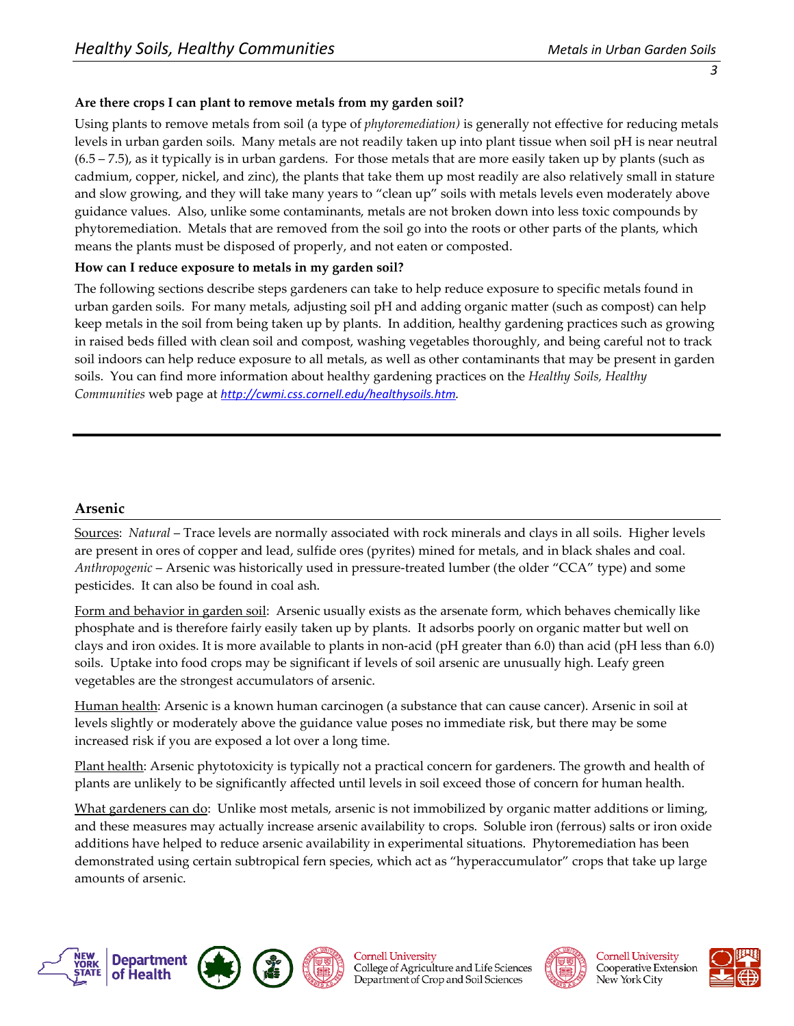#### **Are there crops I can plant to remove metals from my garden soil?**

Using plants to remove metals from soil (a type of *phytoremediation)* is generally not effective for reducing metals levels in urban garden soils. Many metals are not readily taken up into plant tissue when soil pH is near neutral (6.5 – 7.5), as it typically is in urban gardens. For those metals that are more easily taken up by plants (such as cadmium, copper, nickel, and zinc), the plants that take them up most readily are also relatively small in stature and slow growing, and they will take many years to "clean up" soils with metals levels even moderately above guidance values. Also, unlike some contaminants, metals are not broken down into less toxic compounds by phytoremediation. Metals that are removed from the soil go into the roots or other parts of the plants, which means the plants must be disposed of properly, and not eaten or composted.

#### **How can I reduce exposure to metals in my garden soil?**

The following sections describe steps gardeners can take to help reduce exposure to specific metals found in urban garden soils. For many metals, adjusting soil pH and adding organic matter (such as compost) can help keep metals in the soil from being taken up by plants. In addition, healthy gardening practices such as growing in raised beds filled with clean soil and compost, washing vegetables thoroughly, and being careful not to track soil indoors can help reduce exposure to all metals, as well as other contaminants that may be present in garden soils. You can find more information about healthy gardening practices on the *Healthy Soils, Healthy Communities* web page at *[http://cwmi.css.cornell.edu/healthysoils.htm.](http://cwmi.css.cornell.edu/healthysoils.htm)* 

#### **Arsenic**

Sources: *Natural* – Trace levels are normally associated with rock minerals and clays in all soils. Higher levels are present in ores of copper and lead, sulfide ores (pyrites) mined for metals, and in black shales and coal. *Anthropogenic* – Arsenic was historically used in pressure-treated lumber (the older "CCA" type) and some pesticides. It can also be found in coal ash.

Form and behavior in garden soil: Arsenic usually exists as the arsenate form, which behaves chemically like phosphate and is therefore fairly easily taken up by plants. It adsorbs poorly on organic matter but well on clays and iron oxides. It is more available to plants in non-acid (pH greater than 6.0) than acid (pH less than 6.0) soils. Uptake into food crops may be significant if levels of soil arsenic are unusually high. Leafy green vegetables are the strongest accumulators of arsenic.

Human health: Arsenic is a known human carcinogen (a substance that can cause cancer). Arsenic in soil at levels slightly or moderately above the guidance value poses no immediate risk, but there may be some increased risk if you are exposed a lot over a long time.

Plant health: Arsenic phytotoxicity is typically not a practical concern for gardeners. The growth and health of plants are unlikely to be significantly affected until levels in soil exceed those of concern for human health.

What gardeners can do: Unlike most metals, arsenic is not immobilized by organic matter additions or liming, and these measures may actually increase arsenic availability to crops. Soluble iron (ferrous) salts or iron oxide additions have helped to reduce arsenic availability in experimental situations. Phytoremediation has been demonstrated using certain subtropical fern species, which act as "hyperaccumulator" crops that take up large amounts of arsenic.





**Cornell University** College of Agriculture and Life Sciences Department of Crop and Soil Sciences



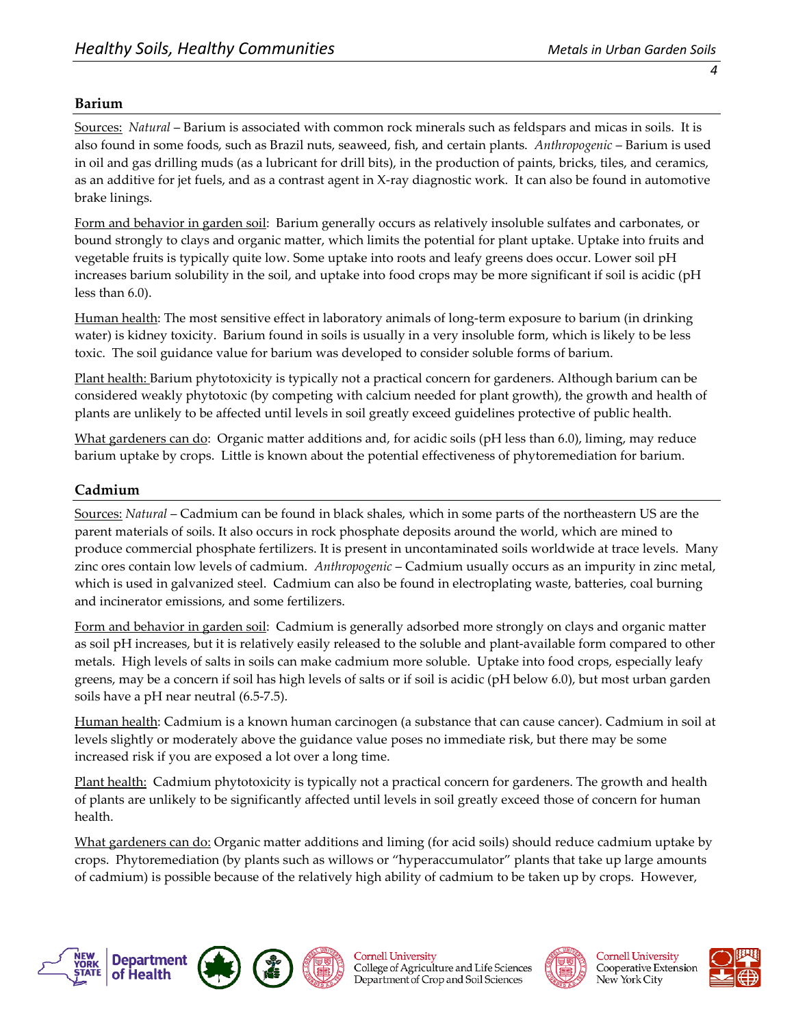#### **Barium**

Sources: *Natural* – Barium is associated with common rock minerals such as feldspars and micas in soils. It is also found in some foods, such as Brazil nuts, seaweed, fish, and certain plants. *Anthropogenic* – Barium is used in oil and gas drilling muds (as a lubricant for drill bits), in the production of paints, bricks, tiles, and ceramics, as an additive for jet fuels, and as a contrast agent in X-ray diagnostic work. It can also be found in automotive brake linings.

Form and behavior in garden soil: Barium generally occurs as relatively insoluble sulfates and carbonates, or bound strongly to clays and organic matter, which limits the potential for plant uptake. Uptake into fruits and vegetable fruits is typically quite low. Some uptake into roots and leafy greens does occur. Lower soil pH increases barium solubility in the soil, and uptake into food crops may be more significant if soil is acidic (pH less than 6.0).

Human health: The most sensitive effect in laboratory animals of long-term exposure to barium (in drinking water) is kidney toxicity. Barium found in soils is usually in a very insoluble form, which is likely to be less toxic. The soil guidance value for barium was developed to consider soluble forms of barium.

Plant health: Barium phytotoxicity is typically not a practical concern for gardeners. Although barium can be considered weakly phytotoxic (by competing with calcium needed for plant growth), the growth and health of plants are unlikely to be affected until levels in soil greatly exceed guidelines protective of public health.

What gardeners can do: Organic matter additions and, for acidic soils (pH less than 6.0), liming, may reduce barium uptake by crops. Little is known about the potential effectiveness of phytoremediation for barium.

#### **Cadmium**

Sources: *Natural* – Cadmium can be found in black shales, which in some parts of the northeastern US are the parent materials of soils. It also occurs in rock phosphate deposits around the world, which are mined to produce commercial phosphate fertilizers. It is present in uncontaminated soils worldwide at trace levels. Many zinc ores contain low levels of cadmium. *Anthropogenic* – Cadmium usually occurs as an impurity in zinc metal, which is used in galvanized steel. Cadmium can also be found in electroplating waste, batteries, coal burning and incinerator emissions, and some fertilizers.

Form and behavior in garden soil: Cadmium is generally adsorbed more strongly on clays and organic matter as soil pH increases, but it is relatively easily released to the soluble and plant-available form compared to other metals. High levels of salts in soils can make cadmium more soluble. Uptake into food crops, especially leafy greens, may be a concern if soil has high levels of salts or if soil is acidic (pH below 6.0), but most urban garden soils have a pH near neutral (6.5-7.5).

Human health: Cadmium is a known human carcinogen (a substance that can cause cancer). Cadmium in soil at levels slightly or moderately above the guidance value poses no immediate risk, but there may be some increased risk if you are exposed a lot over a long time.

Plant health: Cadmium phytotoxicity is typically not a practical concern for gardeners. The growth and health of plants are unlikely to be significantly affected until levels in soil greatly exceed those of concern for human health.

What gardeners can do: Organic matter additions and liming (for acid soils) should reduce cadmium uptake by crops. Phytoremediation (by plants such as willows or "hyperaccumulator" plants that take up large amounts of cadmium) is possible because of the relatively high ability of cadmium to be taken up by crops. However,









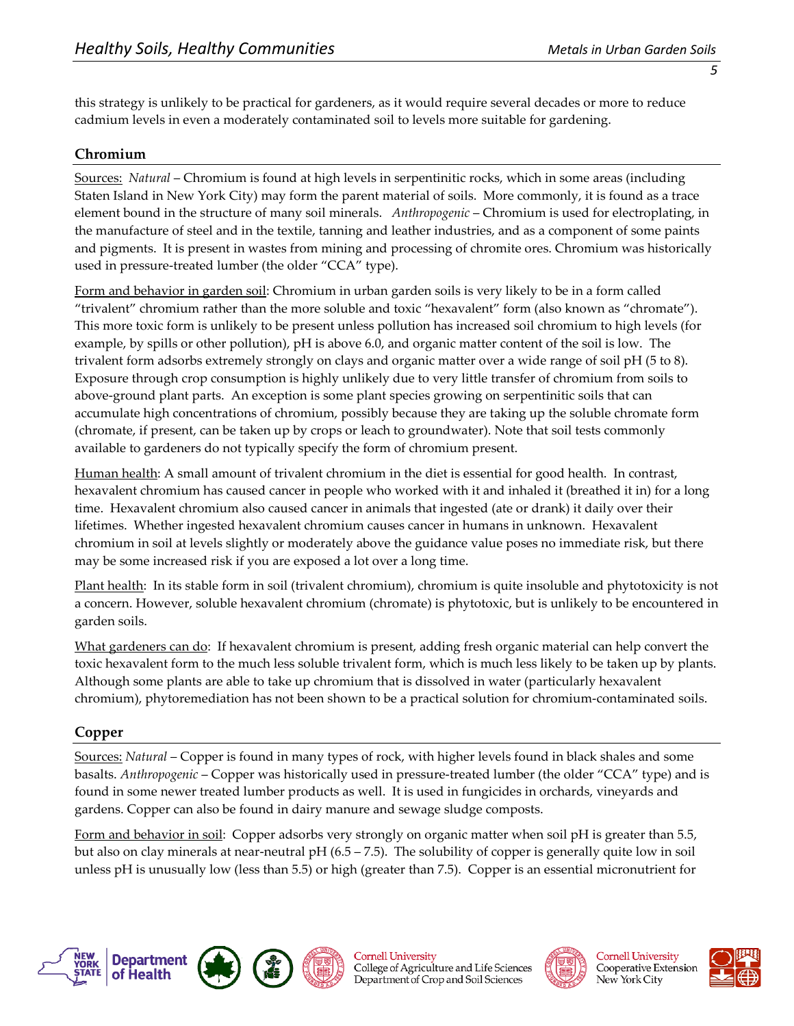this strategy is unlikely to be practical for gardeners, as it would require several decades or more to reduce cadmium levels in even a moderately contaminated soil to levels more suitable for gardening.

## **Chromium**

Sources: *Natural* – Chromium is found at high levels in serpentinitic rocks, which in some areas (including Staten Island in New York City) may form the parent material of soils. More commonly, it is found as a trace element bound in the structure of many soil minerals. *Anthropogenic* – Chromium is used for electroplating, in the manufacture of steel and in the textile, tanning and leather industries, and as a component of some paints and pigments. It is present in wastes from mining and processing of chromite ores. Chromium was historically used in pressure-treated lumber (the older "CCA" type).

Form and behavior in garden soil: Chromium in urban garden soils is very likely to be in a form called "trivalent" chromium rather than the more soluble and toxic "hexavalent" form (also known as "chromate"). This more toxic form is unlikely to be present unless pollution has increased soil chromium to high levels (for example, by spills or other pollution), pH is above 6.0, and organic matter content of the soil is low. The trivalent form adsorbs extremely strongly on clays and organic matter over a wide range of soil pH (5 to 8). Exposure through crop consumption is highly unlikely due to very little transfer of chromium from soils to above-ground plant parts. An exception is some plant species growing on serpentinitic soils that can accumulate high concentrations of chromium, possibly because they are taking up the soluble chromate form (chromate, if present, can be taken up by crops or leach to groundwater). Note that soil tests commonly available to gardeners do not typically specify the form of chromium present.

Human health: A small amount of trivalent chromium in the diet is essential for good health. In contrast, hexavalent chromium has caused cancer in people who worked with it and inhaled it (breathed it in) for a long time. Hexavalent chromium also caused cancer in animals that ingested (ate or drank) it daily over their lifetimes. Whether ingested hexavalent chromium causes cancer in humans in unknown. Hexavalent chromium in soil at levels slightly or moderately above the guidance value poses no immediate risk, but there may be some increased risk if you are exposed a lot over a long time.

Plant health: In its stable form in soil (trivalent chromium), chromium is quite insoluble and phytotoxicity is not a concern. However, soluble hexavalent chromium (chromate) is phytotoxic, but is unlikely to be encountered in garden soils.

What gardeners can do: If hexavalent chromium is present, adding fresh organic material can help convert the toxic hexavalent form to the much less soluble trivalent form, which is much less likely to be taken up by plants. Although some plants are able to take up chromium that is dissolved in water (particularly hexavalent chromium), phytoremediation has not been shown to be a practical solution for chromium-contaminated soils.

# **Copper**

Sources: *Natural* – Copper is found in many types of rock, with higher levels found in black shales and some basalts. *Anthropogenic* – Copper was historically used in pressure-treated lumber (the older "CCA" type) and is found in some newer treated lumber products as well. It is used in fungicides in orchards, vineyards and gardens. Copper can also be found in dairy manure and sewage sludge composts.

Form and behavior in soil: Copper adsorbs very strongly on organic matter when soil pH is greater than 5.5, but also on clay minerals at near-neutral pH (6.5 – 7.5). The solubility of copper is generally quite low in soil unless pH is unusually low (less than 5.5) or high (greater than 7.5). Copper is an essential micronutrient for





**Cornell University** College of Agriculture and Life Sciences Department of Crop and Soil Sciences



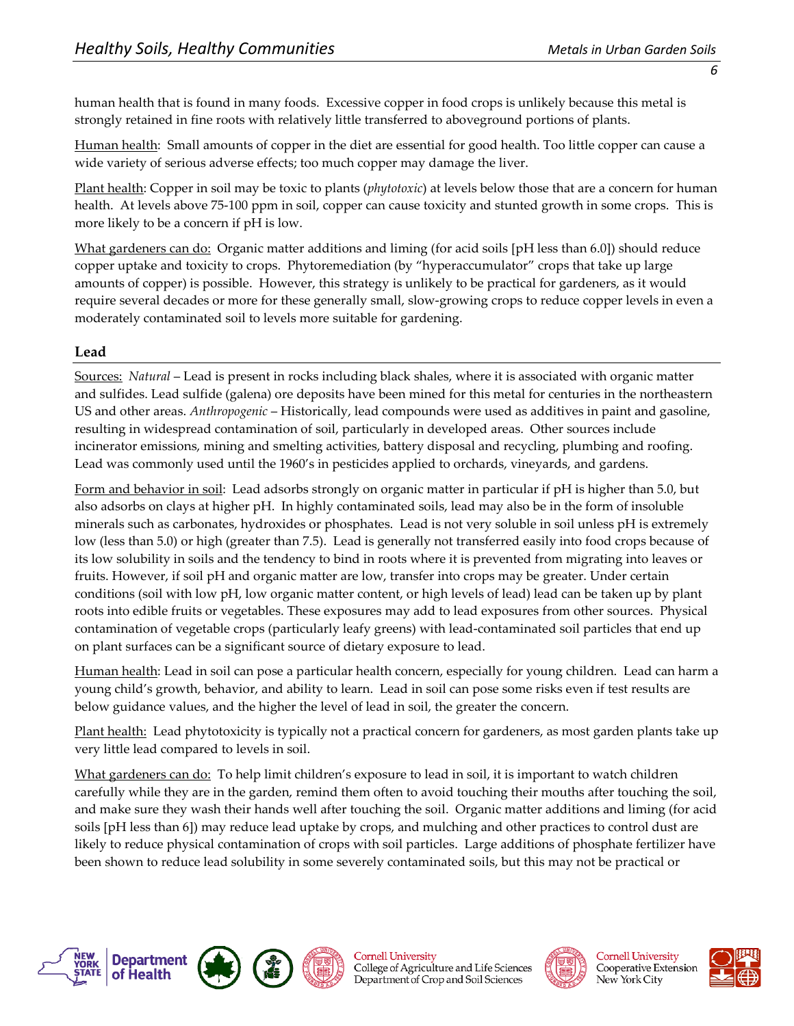human health that is found in many foods. Excessive copper in food crops is unlikely because this metal is strongly retained in fine roots with relatively little transferred to aboveground portions of plants.

Human health: Small amounts of copper in the diet are essential for good health. Too little copper can cause a wide variety of serious adverse effects; too much copper may damage the liver.

Plant health: Copper in soil may be toxic to plants (*phytotoxic*) at levels below those that are a concern for human health. At levels above 75-100 ppm in soil, copper can cause toxicity and stunted growth in some crops. This is more likely to be a concern if pH is low.

What gardeners can do: Organic matter additions and liming (for acid soils [pH less than 6.0]) should reduce copper uptake and toxicity to crops. Phytoremediation (by "hyperaccumulator" crops that take up large amounts of copper) is possible. However, this strategy is unlikely to be practical for gardeners, as it would require several decades or more for these generally small, slow-growing crops to reduce copper levels in even a moderately contaminated soil to levels more suitable for gardening.

# **Lead**

Sources: *Natural* – Lead is present in rocks including black shales, where it is associated with organic matter and sulfides. Lead sulfide (galena) ore deposits have been mined for this metal for centuries in the northeastern US and other areas. *Anthropogenic* – Historically, lead compounds were used as additives in paint and gasoline, resulting in widespread contamination of soil, particularly in developed areas. Other sources include incinerator emissions, mining and smelting activities, battery disposal and recycling, plumbing and roofing. Lead was commonly used until the 1960's in pesticides applied to orchards, vineyards, and gardens.

Form and behavior in soil: Lead adsorbs strongly on organic matter in particular if pH is higher than 5.0, but also adsorbs on clays at higher pH. In highly contaminated soils, lead may also be in the form of insoluble minerals such as carbonates, hydroxides or phosphates. Lead is not very soluble in soil unless pH is extremely low (less than 5.0) or high (greater than 7.5). Lead is generally not transferred easily into food crops because of its low solubility in soils and the tendency to bind in roots where it is prevented from migrating into leaves or fruits. However, if soil pH and organic matter are low, transfer into crops may be greater. Under certain conditions (soil with low pH, low organic matter content, or high levels of lead) lead can be taken up by plant roots into edible fruits or vegetables. These exposures may add to lead exposures from other sources. Physical contamination of vegetable crops (particularly leafy greens) with lead-contaminated soil particles that end up on plant surfaces can be a significant source of dietary exposure to lead.

Human health: Lead in soil can pose a particular health concern, especially for young children. Lead can harm a young child's growth, behavior, and ability to learn. Lead in soil can pose some risks even if test results are below guidance values, and the higher the level of lead in soil, the greater the concern.

Plant health: Lead phytotoxicity is typically not a practical concern for gardeners, as most garden plants take up very little lead compared to levels in soil.

What gardeners can do: To help limit children's exposure to lead in soil, it is important to watch children carefully while they are in the garden, remind them often to avoid touching their mouths after touching the soil, and make sure they wash their hands well after touching the soil. Organic matter additions and liming (for acid soils [pH less than 6]) may reduce lead uptake by crops, and mulching and other practices to control dust are likely to reduce physical contamination of crops with soil particles. Large additions of phosphate fertilizer have been shown to reduce lead solubility in some severely contaminated soils, but this may not be practical or





**Cornell University** College of Agriculture and Life Sciences Department of Crop and Soil Sciences



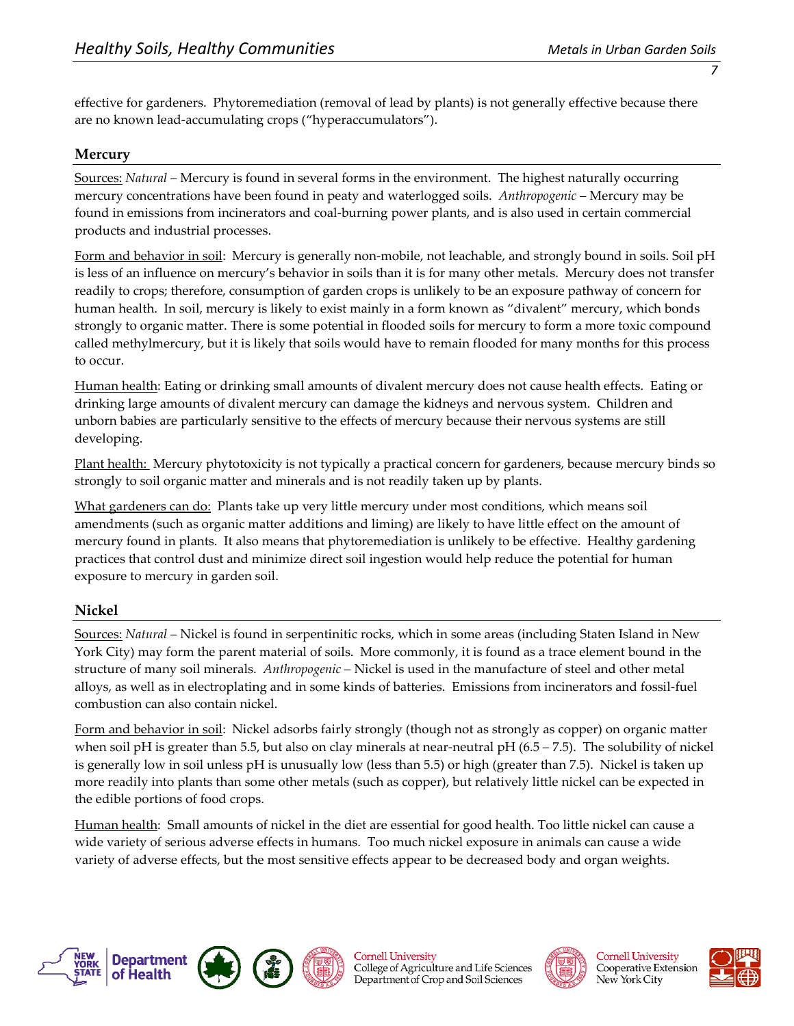effective for gardeners. Phytoremediation (removal of lead by plants) is not generally effective because there are no known lead-accumulating crops ("hyperaccumulators").

#### **Mercury**

Sources: *Natural* – Mercury is found in several forms in the environment. The highest naturally occurring mercury concentrations have been found in peaty and waterlogged soils. *Anthropogenic* – Mercury may be found in emissions from incinerators and coal-burning power plants, and is also used in certain commercial products and industrial processes.

Form and behavior in soil: Mercury is generally non-mobile, not leachable, and strongly bound in soils. Soil pH is less of an influence on mercury's behavior in soils than it is for many other metals. Mercury does not transfer readily to crops; therefore, consumption of garden crops is unlikely to be an exposure pathway of concern for human health. In soil, mercury is likely to exist mainly in a form known as "divalent" mercury, which bonds strongly to organic matter. There is some potential in flooded soils for mercury to form a more toxic compound called methylmercury, but it is likely that soils would have to remain flooded for many months for this process to occur.

Human health: Eating or drinking small amounts of divalent mercury does not cause health effects. Eating or drinking large amounts of divalent mercury can damage the kidneys and nervous system. Children and unborn babies are particularly sensitive to the effects of mercury because their nervous systems are still developing.

Plant health: Mercury phytotoxicity is not typically a practical concern for gardeners, because mercury binds so strongly to soil organic matter and minerals and is not readily taken up by plants.

What gardeners can do: Plants take up very little mercury under most conditions, which means soil amendments (such as organic matter additions and liming) are likely to have little effect on the amount of mercury found in plants. It also means that phytoremediation is unlikely to be effective. Healthy gardening practices that control dust and minimize direct soil ingestion would help reduce the potential for human exposure to mercury in garden soil.

#### **Nickel**

Sources: *Natural* – Nickel is found in serpentinitic rocks, which in some areas (including Staten Island in New York City) may form the parent material of soils. More commonly, it is found as a trace element bound in the structure of many soil minerals. *Anthropogenic* – Nickel is used in the manufacture of steel and other metal alloys, as well as in electroplating and in some kinds of batteries. Emissions from incinerators and fossil-fuel combustion can also contain nickel.

Form and behavior in soil: Nickel adsorbs fairly strongly (though not as strongly as copper) on organic matter when soil pH is greater than 5.5, but also on clay minerals at near-neutral pH  $(6.5 - 7.5)$ . The solubility of nickel is generally low in soil unless pH is unusually low (less than 5.5) or high (greater than 7.5). Nickel is taken up more readily into plants than some other metals (such as copper), but relatively little nickel can be expected in the edible portions of food crops.

Human health: Small amounts of nickel in the diet are essential for good health. Too little nickel can cause a wide variety of serious adverse effects in humans. Too much nickel exposure in animals can cause a wide variety of adverse effects, but the most sensitive effects appear to be decreased body and organ weights.





**Cornell University** College of Agriculture and Life Sciences Department of Crop and Soil Sciences



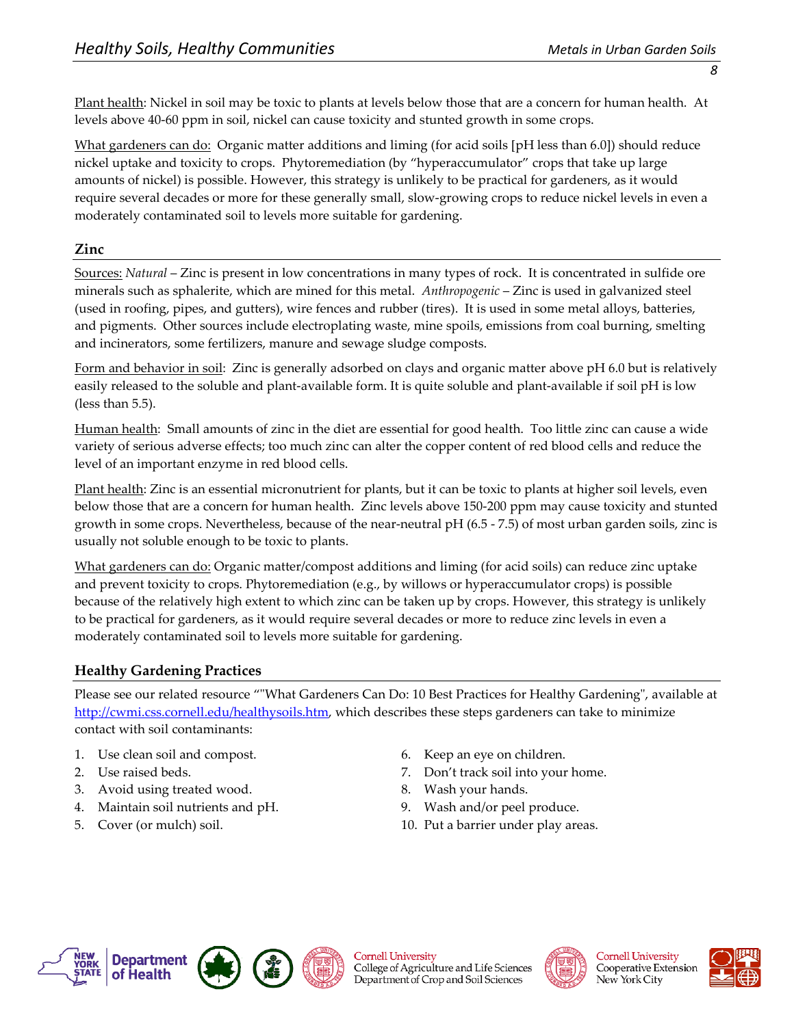Plant health: Nickel in soil may be toxic to plants at levels below those that are a concern for human health. At levels above 40-60 ppm in soil, nickel can cause toxicity and stunted growth in some crops.

What gardeners can do: Organic matter additions and liming (for acid soils [pH less than 6.0]) should reduce nickel uptake and toxicity to crops. Phytoremediation (by "hyperaccumulator" crops that take up large amounts of nickel) is possible. However, this strategy is unlikely to be practical for gardeners, as it would require several decades or more for these generally small, slow-growing crops to reduce nickel levels in even a moderately contaminated soil to levels more suitable for gardening.

## **Zinc**

Sources: *Natural* – Zinc is present in low concentrations in many types of rock. It is concentrated in sulfide ore minerals such as sphalerite, which are mined for this metal. *Anthropogenic* – Zinc is used in galvanized steel (used in roofing, pipes, and gutters), wire fences and rubber (tires). It is used in some metal alloys, batteries, and pigments. Other sources include electroplating waste, mine spoils, emissions from coal burning, smelting and incinerators, some fertilizers, manure and sewage sludge composts.

Form and behavior in soil: Zinc is generally adsorbed on clays and organic matter above pH 6.0 but is relatively easily released to the soluble and plant-available form. It is quite soluble and plant-available if soil pH is low (less than 5.5).

Human health: Small amounts of zinc in the diet are essential for good health. Too little zinc can cause a wide variety of serious adverse effects; too much zinc can alter the copper content of red blood cells and reduce the level of an important enzyme in red blood cells.

Plant health: Zinc is an essential micronutrient for plants, but it can be toxic to plants at higher soil levels, even below those that are a concern for human health. Zinc levels above 150-200 ppm may cause toxicity and stunted growth in some crops. Nevertheless, because of the near-neutral pH (6.5 - 7.5) of most urban garden soils, zinc is usually not soluble enough to be toxic to plants.

What gardeners can do: Organic matter/compost additions and liming (for acid soils) can reduce zinc uptake and prevent toxicity to crops. Phytoremediation (e.g., by willows or hyperaccumulator crops) is possible because of the relatively high extent to which zinc can be taken up by crops. However, this strategy is unlikely to be practical for gardeners, as it would require several decades or more to reduce zinc levels in even a moderately contaminated soil to levels more suitable for gardening.

# **Healthy Gardening Practices**

Please see our related resource ""What Gardeners Can Do: 10 Best Practices for Healthy Gardening", available at [http://cwmi.css.cornell.edu/healthysoils.htm,](http://cwmi.css.cornell.edu/healthysoils.htm) which describes these steps gardeners can take to minimize contact with soil contaminants:

- 1. Use clean soil and compost. 6. Keep an eye on children.
- 
- 3. Avoid using treated wood. 8. Wash your hands.
- 4. Maintain soil nutrients and pH. 9. Wash and/or peel produce.
- 
- 
- 2. Use raised beds. 7. Don't track soil into your home.
	-
	-
- 5. Cover (or mulch) soil. 10. Put a barrier under play areas.





**Cornell University** College of Agriculture and Life Sciences Department of Crop and Soil Sciences